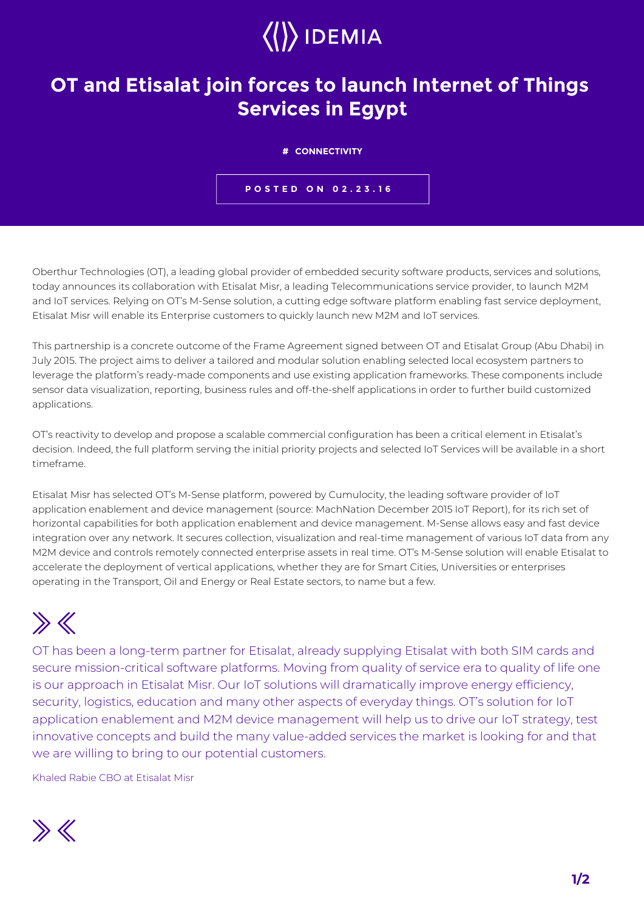## $\langle\langle\rangle\rangle$  IDEMIA

## **OT and Etisalat join forces to launch Internet of Things Services in Egypt**

## **# CONNECTIVITY**

**POSTED ON 02.23.16**

Oberthur Technologies (OT), a leading global provider of embedded security software products, services and solutions, today announces its collaboration with Etisalat Misr, a leading Telecommunications service provider, to launch M2M and IoT services. Relying on OT's M-Sense solution, a cutting edge software platform enabling fast service deployment, Etisalat Misr will enable its Enterprise customers to quickly launch new M2M and IoT services.

This partnership is a concrete outcome of the Frame Agreement signed between OT and Etisalat Group (Abu Dhabi) in July 2015. The project aims to deliver a tailored and modular solution enabling selected local ecosystem partners to leverage the platform's ready-made components and use existing application frameworks. These components include sensor data visualization, reporting, business rules and off-the-shelf applications in order to further build customized applications.

OT's reactivity to develop and propose a scalable commercial configuration has been a critical element in Etisalat's decision. Indeed, the full platform serving the initial priority projects and selected IoT Services will be available in a short timeframe.

Etisalat Misr has selected OT's M-Sense platform, powered by Cumulocity, the leading software provider of IoT application enablement and device management (source: MachNation December 2015 IoT Report), for its rich set of horizontal capabilities for both application enablement and device management. M-Sense allows easy and fast device integration over any network. It secures collection, visualization and real-time management of various IoT data from any M2M device and controls remotely connected enterprise assets in real time. OT's M-Sense solution will enable Etisalat to accelerate the deployment of vertical applications, whether they are for Smart Cities, Universities or enterprises operating in the Transport, Oil and Energy or Real Estate sectors, to name but a few.

## $\gg K$

OT has been a long-term partner for Etisalat, already supplying Etisalat with both SIM cards and secure mission-critical software platforms. Moving from quality of service era to quality of life one is our approach in Etisalat Misr. Our IoT solutions will dramatically improve energy efficiency, security, logistics, education and many other aspects of everyday things. OT's solution for IoT application enablement and M2M device management will help us to drive our IoT strategy, test innovative concepts and build the many value-added services the market is looking for and that we are willing to bring to our potential customers.

Khaled Rabie CBO at Etisalat Misr